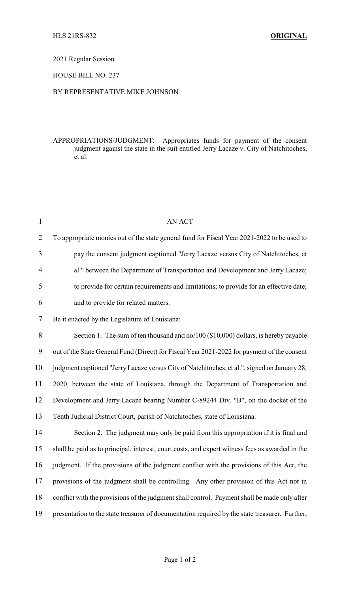# 2021 Regular Session

## HOUSE BILL NO. 237

## BY REPRESENTATIVE MIKE JOHNSON

## APPROPRIATIONS/JUDGMENT: Appropriates funds for payment of the consent judgment against the state in the suit entitled Jerry Lacaze v. City of Natchitoches, et al.

| $\mathbf{1}$   | <b>AN ACT</b>                                                                                   |
|----------------|-------------------------------------------------------------------------------------------------|
| $\overline{2}$ | To appropriate monies out of the state general fund for Fiscal Year 2021-2022 to be used to     |
| 3              | pay the consent judgment captioned "Jerry Lacaze versus City of Natchitoches, et                |
| 4              | al." between the Department of Transportation and Development and Jerry Lacaze;                 |
| 5              | to provide for certain requirements and limitations; to provide for an effective date;          |
| 6              | and to provide for related matters.                                                             |
| $\tau$         | Be it enacted by the Legislature of Louisiana:                                                  |
| 8              | Section 1. The sum of ten thousand and no/100 (\$10,000) dollars, is hereby payable             |
| 9              | out of the State General Fund (Direct) for Fiscal Year 2021-2022 for payment of the consent     |
| 10             | judgment captioned "Jerry Lacaze versus City of Natchitoches, et al.", signed on January 28,    |
| 11             | 2020, between the state of Louisiana, through the Department of Transportation and              |
| 12             | Development and Jerry Lacaze bearing Number C-89244 Div. "B", on the docket of the              |
| 13             | Tenth Judicial District Court, parish of Natchitoches, state of Louisiana.                      |
| 14             | Section 2. The judgment may only be paid from this appropriation if it is final and             |
| 15             | shall be paid as to principal, interest, court costs, and expert witness fees as awarded in the |
| 16             | judgment. If the provisions of the judgment conflict with the provisions of this Act, the       |
| 17             | provisions of the judgment shall be controlling. Any other provision of this Act not in         |
| 18             | conflict with the provisions of the judgment shall control. Payment shall be made only after    |
| 19             | presentation to the state treasurer of documentation required by the state treasurer. Further,  |
|                |                                                                                                 |